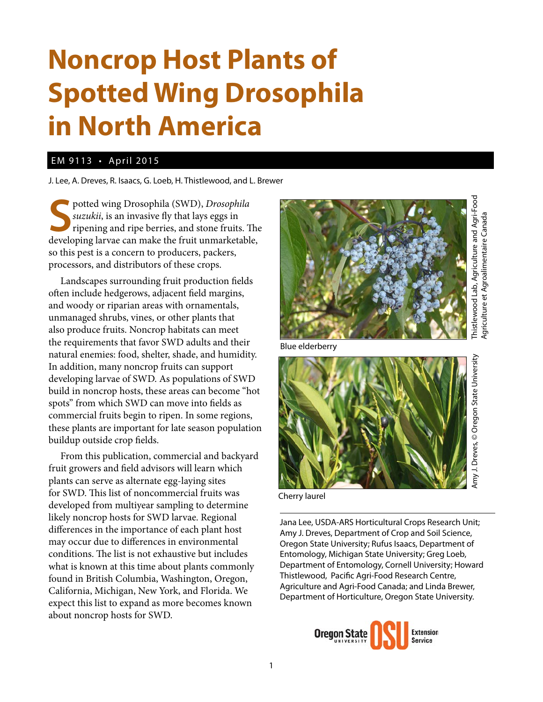## **Noncrop Host Plants of Spotted Wing Drosophila in North America**

## EM 9113 • April 2015

J. Lee, A. Dreves, R. Isaacs, G. Loeb, H. Thistlewood, and L. Brewer

**S** potted wing Drosophila (SWD), *Drosophila*<br>
suzukii, is an invasive fly that lays eggs in<br>
ripening and ripe berries, and stone fruits. The<br>
developing larvae can make the fruit unmarketable, potted wing Drosophila (SWD), *Drosophila suzukii*, is an invasive fly that lays eggs in ripening and ripe berries, and stone fruits. The so this pest is a concern to producers, packers, processors, and distributors of these crops.

Landscapes surrounding fruit production fields often include hedgerows, adjacent field margins, and woody or riparian areas with ornamentals, unmanaged shrubs, vines, or other plants that also produce fruits. Noncrop habitats can meet the requirements that favor SWD adults and their natural enemies: food, shelter, shade, and humidity. In addition, many noncrop fruits can support developing larvae of SWD. As populations of SWD build in noncrop hosts, these areas can become "hot spots" from which SWD can move into fields as commercial fruits begin to ripen. In some regions, these plants are important for late season population buildup outside crop fields.

From this publication, commercial and backyard fruit growers and field advisors will learn which plants can serve as alternate egg-laying sites for SWD. This list of noncommercial fruits was developed from multiyear sampling to determine likely noncrop hosts for SWD larvae. Regional differences in the importance of each plant host may occur due to differences in environmental conditions. The list is not exhaustive but includes what is known at this time about plants commonly found in British Columbia, Washington, Oregon, California, Michigan, New York, and Florida. We expect this list to expand as more becomes known about noncrop hosts for SWD.



Agriculture et Agroalimentaire Canada Agriculture et Agroalimentaire Canada

Blue elderberry



Cherry laurel

Jana Lee, USDA-ARS Horticultural Crops Research Unit; Amy J. Dreves, Department of Crop and Soil Science, Oregon State University; Rufus Isaacs, Department of Entomology, Michigan State University; Greg Loeb, Department of Entomology, Cornell University; Howard Thistlewood, Pacific Agri-Food Research Centre, Agriculture and Agri-Food Canada; and Linda Brewer, Department of Horticulture, Oregon State University.

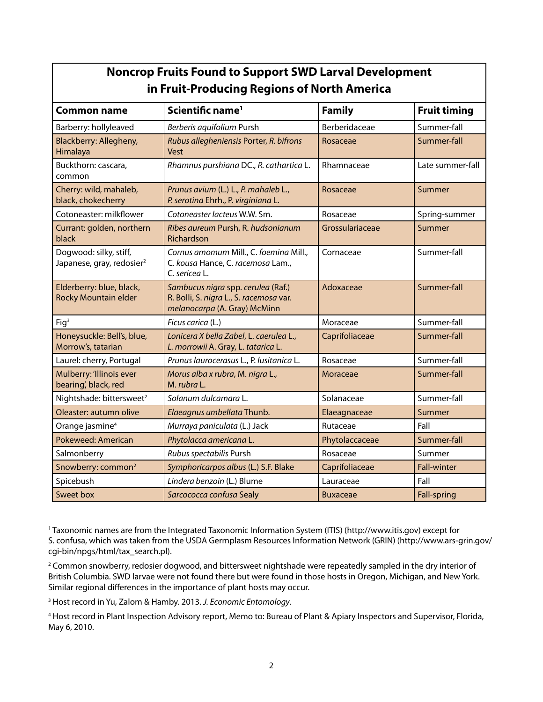| <b>Noncrop Fruits Found to Support SWD Larval Development</b> |  |  |  |
|---------------------------------------------------------------|--|--|--|
| in Fruit-Producing Regions of North America                   |  |  |  |

| <b>Common name</b>                                              | Scientific name <sup>1</sup>                                                                                  | <b>Family</b>   | <b>Fruit timing</b> |
|-----------------------------------------------------------------|---------------------------------------------------------------------------------------------------------------|-----------------|---------------------|
| Barberry: hollyleaved                                           | Berberis aquifolium Pursh                                                                                     | Berberidaceae   | Summer-fall         |
| Blackberry: Allegheny,<br>Himalaya                              | Rubus allegheniensis Porter, R. bifrons<br>Vest                                                               | Rosaceae        | Summer-fall         |
| Buckthorn: cascara,<br>common                                   | Rhamnus purshiana DC., R. cathartica L.                                                                       | Rhamnaceae      | Late summer-fall    |
| Cherry: wild, mahaleb,<br>black, chokecherry                    | Prunus avium (L.) L., P. mahaleb L.,<br>P. serotina Ehrh., P. virginiana L.                                   | Rosaceae        | Summer              |
| Cotoneaster: milkflower                                         | Cotoneaster lacteus W.W. Sm.                                                                                  | Rosaceae        | Spring-summer       |
| Currant: golden, northern<br>black                              | Ribes aureum Pursh, R. hudsonianum<br>Richardson                                                              | Grossulariaceae | Summer              |
| Dogwood: silky, stiff,<br>Japanese, gray, redosier <sup>2</sup> | Cornus amomum Mill., C. foemina Mill.,<br>C. kousa Hance, C. racemosa Lam.,<br>C. sericea L.                  | Cornaceae       | Summer-fall         |
| Elderberry: blue, black,<br><b>Rocky Mountain elder</b>         | Sambucus nigra spp. cerulea (Raf.)<br>R. Bolli, S. nigra L., S. racemosa var.<br>melanocarpa (A. Gray) McMinn | Adoxaceae       | Summer-fall         |
| Fig <sup>3</sup>                                                | Ficus carica (L.)                                                                                             | Moraceae        | Summer-fall         |
| Honeysuckle: Bell's, blue,<br>Morrow's, tatarian                | Lonicera X bella Zabel, L. caerulea L.,<br>L. morrowii A. Gray, L. tatarica L.                                | Caprifoliaceae  | Summer-fall         |
| Laurel: cherry, Portugal                                        | Prunus laurocerasus L., P. lusitanica L.                                                                      | Rosaceae        | Summer-fall         |
| Mulberry: 'Illinois ever<br>bearing', black, red                | Morus alba x rubra, M. nigra L.,<br>M. rubra L.                                                               | Moraceae        | Summer-fall         |
| Nightshade: bittersweet <sup>2</sup>                            | Solanum dulcamara L.                                                                                          | Solanaceae      | Summer-fall         |
| Oleaster: autumn olive                                          | Elaeagnus umbellata Thunb.                                                                                    | Elaeagnaceae    | Summer              |
| Orange jasmine <sup>4</sup>                                     | Murraya paniculata (L.) Jack                                                                                  | Rutaceae        | Fall                |
| Pokeweed: American                                              | Phytolacca americana L.                                                                                       | Phytolaccaceae  | Summer-fall         |
| Salmonberry                                                     | Rubus spectabilis Pursh                                                                                       | Rosaceae        | Summer              |
| Snowberry: common <sup>2</sup>                                  | Symphoricarpos albus (L.) S.F. Blake                                                                          | Caprifoliaceae  | <b>Fall-winter</b>  |
| Spicebush                                                       | Lindera benzoin (L.) Blume                                                                                    | Lauraceae       | Fall                |
| Sweet box                                                       | Sarcococca confusa Sealy                                                                                      | <b>Buxaceae</b> | <b>Fall-spring</b>  |

1 Taxonomic names are from the Integrated Taxonomic Information System (ITIS) (http://www.itis.gov) except for S. confusa, which was taken from the USDA Germplasm Resources Information Network (GRIN) (http://www.ars-grin.gov/ cgi-bin/npgs/html/tax\_search.pl).

2 Common snowberry, redosier dogwood, and bittersweet nightshade were repeatedly sampled in the dry interior of British Columbia. SWD larvae were not found there but were found in those hosts in Oregon, Michigan, and New York. Similar regional differences in the importance of plant hosts may occur.

3 Host record in Yu, Zalom & Hamby. 2013. *J. Economic Entomology*.

4 Host record in Plant Inspection Advisory report, Memo to: Bureau of Plant & Apiary Inspectors and Supervisor, Florida, May 6, 2010.